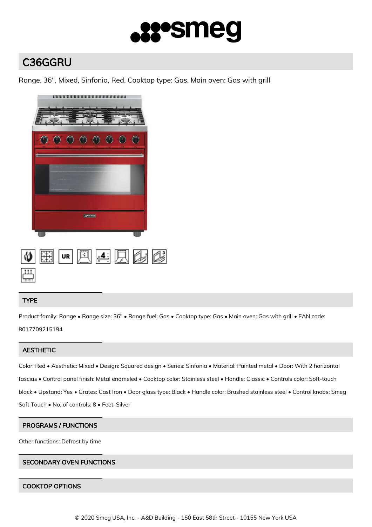

# C36GGRU

Range, 36", Mixed, Sinfonia, Red, Cooktop type: Gas, Main oven: Gas with grill



## TYPE

Product family: Range • Range size: 36" • Range fuel: Gas • Cooktop type: Gas • Main oven: Gas with grill • EAN code: 8017709215194

## **AESTHETIC**

Color: Red • Aesthetic: Mixed • Design: Squared design • Series: Sinfonia • Material: Painted metal • Door: With 2 horizontal fascias • Control panel finish: Metal enameled • Cooktop color: Stainless steel • Handle: Classic • Controls color: Soft-touch black • Upstand: Yes • Grates: Cast Iron • Door glass type: Black • Handle color: Brushed stainless steel • Control knobs: Smeg Soft Touch • No. of controls: 8 • Feet: Silver

## PROGRAMS / FUNCTIONS

Other functions: Defrost by time

## SECONDARY OVEN FUNCTIONS

## COOKTOP OPTIONS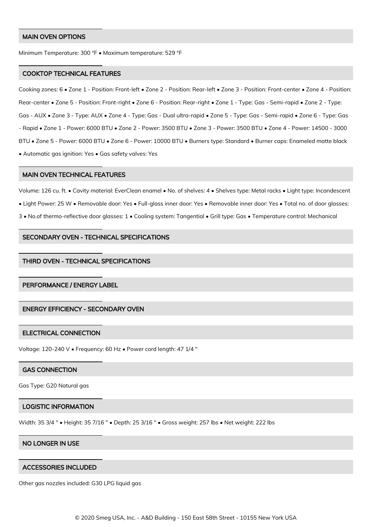#### MAIN OVEN OPTIONS

Minimum Temperature: 300 °F • Maximum temperature: 529 °F

#### COOKTOP TECHNICAL FEATURES

Cooking zones: 6 • Zone 1 - Position: Front-left • Zone 2 - Position: Rear-left • Zone 3 - Position: Front-center • Zone 4 - Position: Rear-center • Zone 5 - Position: Front-right • Zone 6 - Position: Rear-right • Zone 1 - Type: Gas - Semi-rapid • Zone 2 - Type: Gas - AUX • Zone 3 - Type: AUX • Zone 4 - Type: Gas - Dual ultra-rapid • Zone 5 - Type: Gas - Semi-rapid • Zone 6 - Type: Gas - Rapid • Zone 1 - Power: 6000 BTU • Zone 2 - Power: 3500 BTU • Zone 3 - Power: 3500 BTU • Zone 4 - Power: 14500 - 3000 BTU • Zone 5 - Power: 6000 BTU • Zone 6 - Power: 10000 BTU • Burners type: Standard • Burner caps: Enameled matte black • Automatic gas ignition: Yes • Gas safety valves: Yes

#### MAIN OVEN TECHNICAL FEATURES

Volume: 126 cu. ft. • Cavity material: EverClean enamel • No. of shelves: 4 • Shelves type: Metal racks • Light type: Incandescent • Light Power: 25 W • Removable door: Yes • Full-glass inner door: Yes • Removable inner door: Yes • Total no. of door glasses: 3 • No.of thermo-reflective door glasses: 1 • Cooling system: Tangential • Grill type: Gas • Temperature control: Mechanical

## SECONDARY OVEN - TECHNICAL SPECIFICATIONS

#### THIRD OVEN - TECHNICAL SPECIFICATIONS

## PERFORMANCE / ENERGY LABEL

## ENERGY EFFICIENCY - SECONDARY OVEN

#### ELECTRICAL CONNECTION

Voltage: 120-240 V • Frequency: 60 Hz • Power cord length: 47 1/4 "

#### GAS CONNECTION

Gas Type: G20 Natural gas

#### LOGISTIC INFORMATION

Width: 35 3/4 " • Height: 35 7/16 " • Depth: 25 3/16 " • Gross weight: 257 lbs • Net weight: 222 lbs

## NO LONGER IN USE

#### ACCESSORIES INCLUDED

Other gas nozzles included: G30 LPG liquid gas